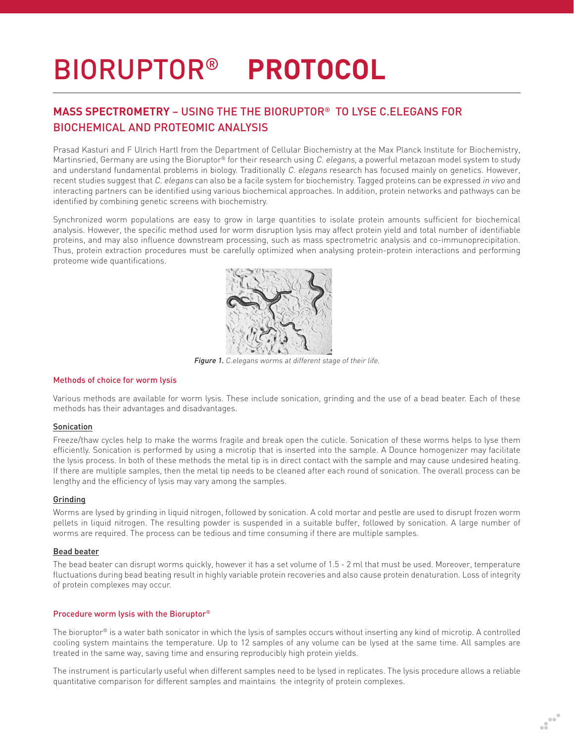# BIORUPTOR® **PROTOCOL**

# **MASS SPECTROMETRY** – USING THE THE BIORUPTOR® TO LYSE C.ELEGANS FOR BIOCHEMICAL AND PROTEOMIC ANALYSIS

Prasad Kasturi and F Ulrich Hartl from the Department of Cellular Biochemistry at the Max Planck Institute for Biochemistry, Martinsried, Germany are using the Bioruptor® for their research using C. elegans, a powerful metazoan model system to study and understand fundamental problems in biology. Traditionally C. elegans research has focused mainly on genetics. However, recent studies suggest that C. elegans can also be a facile system for biochemistry. Tagged proteins can be expressed in vivo and interacting partners can be identified using various biochemical approaches. In addition, protein networks and pathways can be identified by combining genetic screens with biochemistry.

Synchronized worm populations are easy to grow in large quantities to isolate protein amounts sufficient for biochemical analysis. However, the specific method used for worm disruption lysis may affect protein yield and total number of identifiable proteins, and may also influence downstream processing, such as mass spectrometric analysis and co-immunoprecipitation. Thus, protein extraction procedures must be carefully optimized when analysing protein-protein interactions and performing proteome wide quantifications.



Figure 1. C.elegans worms at different stage of their life.

#### Methods of choice for worm lysis

Various methods are available for worm lysis. These include sonication, grinding and the use of a bead beater. Each of these methods has their advantages and disadvantages.

## Sonication

Freeze/thaw cycles help to make the worms fragile and break open the cuticle. Sonication of these worms helps to lyse them efficiently. Sonication is performed by using a microtip that is inserted into the sample. A Dounce homogenizer may facilitate the lysis process. In both of these methods the metal tip is in direct contact with the sample and may cause undesired heating. If there are multiple samples, then the metal tip needs to be cleaned after each round of sonication. The overall process can be lengthy and the efficiency of lysis may vary among the samples.

#### Grinding

Worms are lysed by grinding in liquid nitrogen, followed by sonication. A cold mortar and pestle are used to disrupt frozen worm pellets in liquid nitrogen. The resulting powder is suspended in a suitable buffer, followed by sonication. A large number of worms are required. The process can be tedious and time consuming if there are multiple samples.

# Bead beater

The bead beater can disrupt worms quickly, however it has a set volume of 1.5 - 2 ml that must be used. Moreover, temperature fluctuations during bead beating result in highly variable protein recoveries and also cause protein denaturation. Loss of integrity of protein complexes may occur.

## Procedure worm lysis with the Bioruptor®

The bioruptor® is a water bath sonicator in which the lysis of samples occurs without inserting any kind of microtip. A controlled cooling system maintains the temperature. Up to 12 samples of any volume can be lysed at the same time. All samples are treated in the same way, saving time and ensuring reproducibly high protein yields.

The instrument is particularly useful when different samples need to be lysed in replicates. The lysis procedure allows a reliable quantitative comparison for different samples and maintains the integrity of protein complexes.

wa.<br>Giro